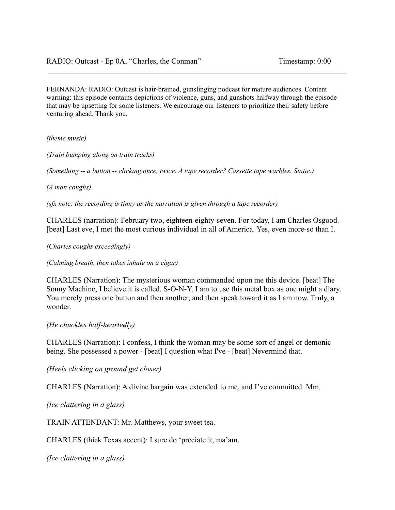FERNANDA: RADIO: Outcast is hair-brained, gunslinging podcast for mature audiences. Content warning: this episode contains depictions of violence, guns, and gunshots halfway through the episode that may be upsetting for some listeners. We encourage our listeners to prioritize their safety before venturing ahead. Thank you.

*(theme music)*

*(Train bumping along on train tracks)*

*(Something -- a button -- clicking once, twice. A tape recorder? Cassette tape warbles. Static.)*

*(A man coughs)*

*(sfx note: the recording is tinny as the narration is given through a tape recorder)*

CHARLES (narration): February two, eighteen-eighty-seven. For today, I am Charles Osgood. [beat] Last eve, I met the most curious individual in all of America. Yes, even more-so than I.

*(Charles coughs exceedingly)*

*(Calming breath, then takes inhale on a cigar)*

CHARLES (Narration): The mysterious woman commanded upon me this device. [beat] The Sonny Machine, I believe it is called. S-O-N-Y. I am to use this metal box as one might a diary. You merely press one button and then another, and then speak toward it as I am now. Truly, a wonder.

*(He chuckles half-heartedly)*

CHARLES (Narration): I confess, I think the woman may be some sort of angel or demonic being. She possessed a power - [beat] I question what I've - [beat] Nevermind that.

*(Heels clicking on ground get closer)*

CHARLES (Narration): A divine bargain was extended to me, and I've committed. Mm.

*(Ice clattering in a glass)*

TRAIN ATTENDANT: Mr. Matthews, your sweet tea.

CHARLES (thick Texas accent): I sure do 'preciate it, ma'am.

*(Ice clattering in a glass)*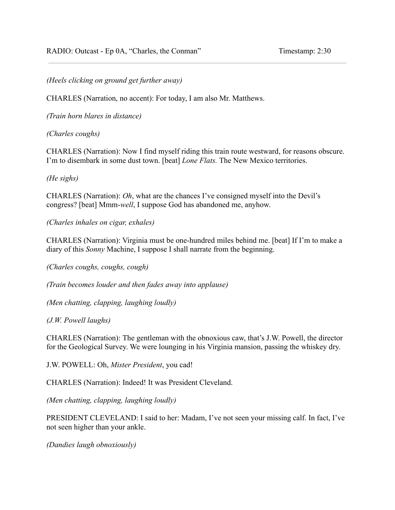*(Heels clicking on ground get further away)*

CHARLES (Narration, no accent): For today, I am also Mr. Matthews.

*(Train horn blares in distance)*

*(Charles coughs)*

CHARLES (Narration): Now I find myself riding this train route westward, for reasons obscure. I'm to disembark in some dust town. [beat] *Lone Flats.* The New Mexico territories.

## *(He sighs)*

CHARLES (Narration): *Oh*, what are the chances I've consigned myself into the Devil's congress? [beat] Mmm-*well*, I suppose God has abandoned me, anyhow.

*(Charles inhales on cigar, exhales)*

CHARLES (Narration): Virginia must be one-hundred miles behind me. [beat] If I'm to make a diary of this *Sonny* Machine, I suppose I shall narrate from the beginning.

*(Charles coughs, coughs, cough)*

*(Train becomes louder and then fades away into applause)*

*(Men chatting, clapping, laughing loudly)*

*(J.W. Powell laughs)*

CHARLES (Narration): The gentleman with the obnoxious caw, that's J.W. Powell, the director for the Geological Survey. We were lounging in his Virginia mansion, passing the whiskey dry.

J.W. POWELL: Oh, *Mister President*, you cad!

CHARLES (Narration): Indeed! It was President Cleveland.

*(Men chatting, clapping, laughing loudly)*

PRESIDENT CLEVELAND: I said to her: Madam, I've not seen your missing calf. In fact, I've not seen higher than your ankle.

*(Dandies laugh obnoxiously)*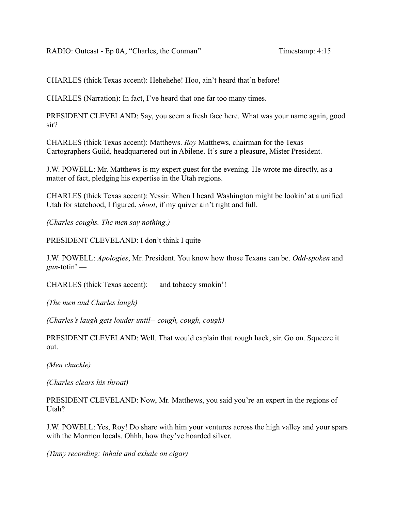CHARLES (thick Texas accent): Hehehehe! Hoo, ain't heard that'n before!

CHARLES (Narration): In fact, I've heard that one far too many times.

PRESIDENT CLEVELAND: Say, you seem a fresh face here. What was your name again, good sir?

CHARLES (thick Texas accent): Matthews. *Roy* Matthews, chairman for the Texas Cartographers Guild, headquartered out in Abilene. It's sure a pleasure, Mister President.

J.W. POWELL: Mr. Matthews is my expert guest for the evening. He wrote me directly, as a matter of fact, pledging his expertise in the Utah regions.

CHARLES (thick Texas accent): Yessir. When I heard Washington might be lookin' at a unified Utah for statehood, I figured, *shoot*, if my quiver ain't right and full.

*(Charles coughs. The men say nothing.)*

PRESIDENT CLEVELAND: I don't think I quite —

J.W. POWELL: *Apologies*, Mr. President. You know how those Texans can be. *Odd-spoken* and *gun*-totin' —

CHARLES (thick Texas accent): — and tobaccy smokin'!

*(The men and Charles laugh)*

*(Charles's laugh gets louder until-- cough, cough, cough)*

PRESIDENT CLEVELAND: Well. That would explain that rough hack, sir. Go on. Squeeze it out.

*(Men chuckle)*

*(Charles clears his throat)*

PRESIDENT CLEVELAND: Now, Mr. Matthews, you said you're an expert in the regions of Utah?

J.W. POWELL: Yes, Roy! Do share with him your ventures across the high valley and your spars with the Mormon locals. Ohhh, how they've hoarded silver.

*(Tinny recording: inhale and exhale on cigar)*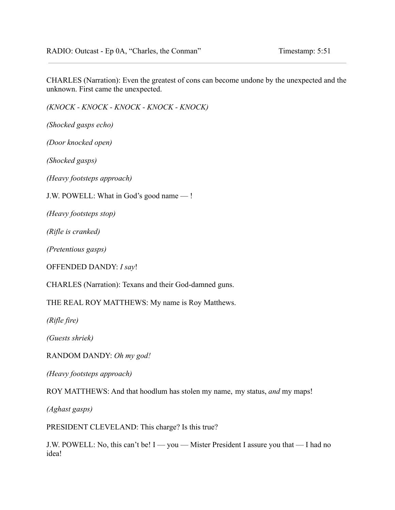CHARLES (Narration): Even the greatest of cons can become undone by the unexpected and the unknown. First came the unexpected.

*(KNOCK - KNOCK - KNOCK - KNOCK - KNOCK)*

*(Shocked gasps echo)*

*(Door knocked open)*

*(Shocked gasps)*

*(Heavy footsteps approach)*

J.W. POWELL: What in God's good name — !

*(Heavy footsteps stop)*

*(Rifle is cranked)*

*(Pretentious gasps)*

OFFENDED DANDY: *I say*!

CHARLES (Narration): Texans and their God-damned guns.

THE REAL ROY MATTHEWS: My name is Roy Matthews.

*(Rifle fire)*

*(Guests shriek)*

RANDOM DANDY: *Oh my god!*

*(Heavy footsteps approach)*

ROY MATTHEWS: And that hoodlum has stolen my name, my status, *and* my maps!

*(Aghast gasps)*

PRESIDENT CLEVELAND: This charge? Is this true?

J.W. POWELL: No, this can't be! I — you — Mister President I assure you that — I had no idea!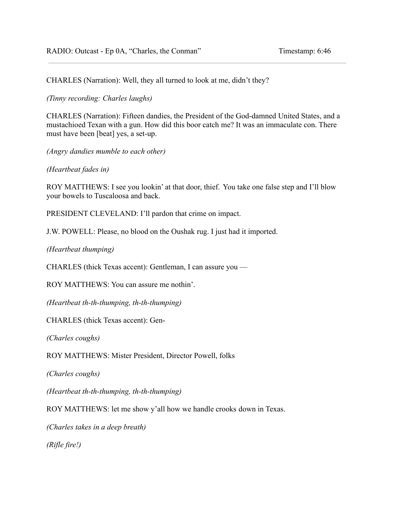CHARLES (Narration): Well, they all turned to look at me, didn't they?

*(Tinny recording: Charles laughs)*

CHARLES (Narration): Fifteen dandies, the President of the God-damned United States, and a mustachioed Texan with a gun. How did this boor catch me? It was an immaculate con. There must have been [beat] yes, a set-up.

*(Angry dandies mumble to each other)*

*(Heartbeat fades in)*

ROY MATTHEWS: I see you lookin' at that door, thief. You take one false step and I'll blow your bowels to Tuscaloosa and back.

PRESIDENT CLEVELAND: I'll pardon that crime on impact.

J.W. POWELL: Please, no blood on the Oushak rug. I just had it imported.

*(Heartbeat thumping)*

CHARLES (thick Texas accent): Gentleman, I can assure you —

ROY MATTHEWS: You can assure me nothin'.

*(Heartbeat th-th-thumping, th-th-thumping)*

CHARLES (thick Texas accent): Gen-

*(Charles coughs)*

ROY MATTHEWS: Mister President, Director Powell, folks

*(Charles coughs)*

*(Heartbeat th-th-thumping, th-th-thumping)*

ROY MATTHEWS: let me show y'all how we handle crooks down in Texas.

*(Charles takes in a deep breath)*

*(Rifle fire!)*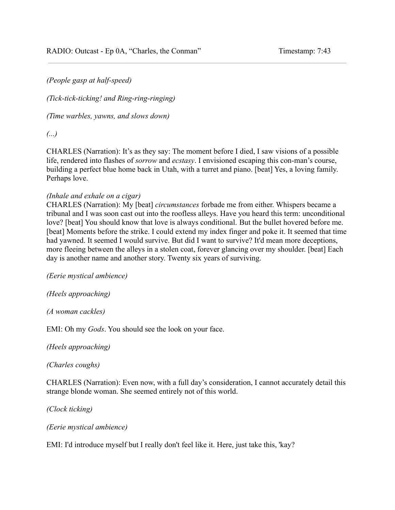*(People gasp at half-speed)*

*(Tick-tick-ticking! and Ring-ring-ringing)*

*(Time warbles, yawns, and slows down)*

*(...)*

CHARLES (Narration): It's as they say: The moment before I died, I saw visions of a possible life, rendered into flashes of *sorrow* and *ecstasy*. I envisioned escaping this con-man's course, building a perfect blue home back in Utah, with a turret and piano. [beat] Yes, a loving family. Perhaps love.

#### *(Inhale and exhale on a cigar)*

CHARLES (Narration): My [beat] *circumstances* forbade me from either. Whispers became a tribunal and I was soon cast out into the roofless alleys. Have you heard this term: unconditional love? [beat] You should know that love is always conditional. But the bullet hovered before me. [beat] Moments before the strike. I could extend my index finger and poke it. It seemed that time had yawned. It seemed I would survive. But did I want to survive? It'd mean more deceptions, more fleeing between the alleys in a stolen coat, forever glancing over my shoulder. [beat] Each day is another name and another story. Twenty six years of surviving.

*(Eerie mystical ambience)*

*(Heels approaching)*

*(A woman cackles)*

EMI: Oh my *Gods*. You should see the look on your face.

*(Heels approaching)*

*(Charles coughs)*

CHARLES (Narration): Even now, with a full day's consideration, I cannot accurately detail this strange blonde woman. She seemed entirely not of this world.

*(Clock ticking)*

*(Eerie mystical ambience)*

EMI: I'd introduce myself but I really don't feel like it. Here, just take this, 'kay?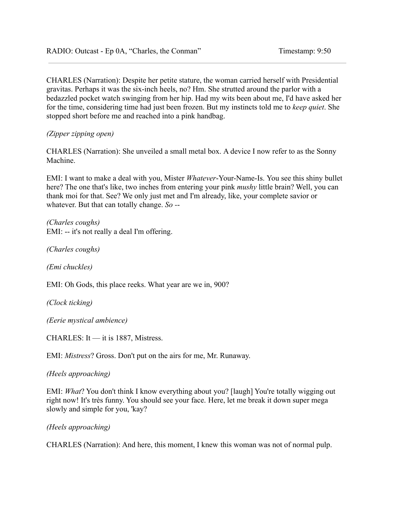CHARLES (Narration): Despite her petite stature, the woman carried herself with Presidential gravitas. Perhaps it was the six-inch heels, no? Hm. She strutted around the parlor with a bedazzled pocket watch swinging from her hip. Had my wits been about me, I'd have asked her for the time, considering time had just been frozen. But my instincts told me to *keep quiet*. She stopped short before me and reached into a pink handbag.

## *(Zipper zipping open)*

CHARLES (Narration): She unveiled a small metal box. A device I now refer to as the Sonny Machine.

EMI: I want to make a deal with you, Mister *Whatever*-Your-Name-Is. You see this shiny bullet here? The one that's like, two inches from entering your pink *mushy* little brain? Well, you can thank moi for that. See? We only just met and I'm already, like, your complete savior or whatever. But that can totally change. *So -*-

*(Charles coughs)* EMI: -- it's not really a deal I'm offering.

*(Charles coughs)*

*(Emi chuckles)*

EMI: Oh Gods, this place reeks. What year are we in, 900?

*(Clock ticking)*

*(Eerie mystical ambience)*

CHARLES: It — it is 1887, Mistress.

EMI: *Mistress*? Gross. Don't put on the airs for me, Mr. Runaway.

# *(Heels approaching)*

EMI: *What*? You don't think I know everything about you? [laugh] You're totally wigging out right now! It's très funny. You should see your face. Here, let me break it down super mega slowly and simple for you, 'kay?

#### *(Heels approaching)*

CHARLES (Narration): And here, this moment, I knew this woman was not of normal pulp.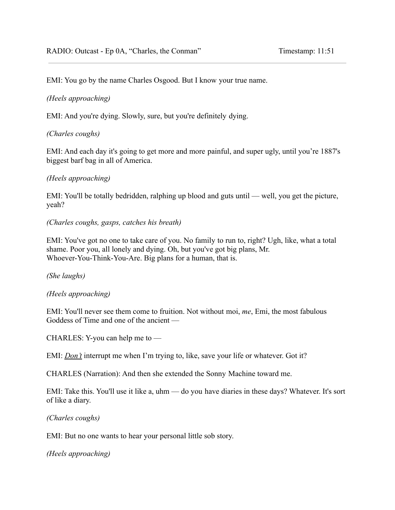EMI: You go by the name Charles Osgood. But I know your true name.

## *(Heels approaching)*

EMI: And you're dying. Slowly, sure, but you're definitely dying.

## *(Charles coughs)*

EMI: And each day it's going to get more and more painful, and super ugly, until you're 1887's biggest barf bag in all of America.

## *(Heels approaching)*

EMI: You'll be totally bedridden, ralphing up blood and guts until — well, you get the picture, yeah?

## *(Charles coughs, gasps, catches his breath)*

EMI: You've got no one to take care of you. No family to run to, right? Ugh, like, what a total shame. Poor you, all lonely and dying. Oh, but you've got big plans, Mr. Whoever-You-Think-You-Are. Big plans for a human, that is.

*(She laughs)*

# *(Heels approaching)*

EMI: You'll never see them come to fruition. Not without moi, *me*, Emi, the most fabulous Goddess of Time and one of the ancient —

CHARLES: Y-you can help me to —

EMI: *Don't* interrupt me when I'm trying to, like, save your life or whatever. Got it?

CHARLES (Narration): And then she extended the Sonny Machine toward me.

EMI: Take this. You'll use it like a, uhm — do you have diaries in these days? Whatever. It's sort of like a diary.

*(Charles coughs)*

EMI: But no one wants to hear your personal little sob story.

*(Heels approaching)*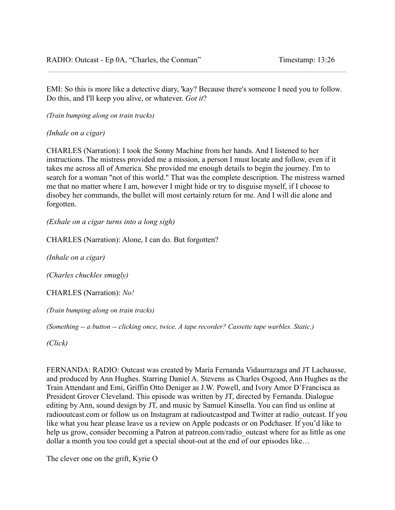EMI: So this is more like a detective diary, 'kay? Because there's someone I need you to follow. Do this, and I'll keep you alive, or whatever. *Got it*?

*(Train bumping along on train tracks)*

*(Inhale on a cigar)*

CHARLES (Narration): I took the Sonny Machine from her hands. And I listened to her instructions. The mistress provided me a mission, a person I must locate and follow, even if it takes me across all of America. She provided me enough details to begin the journey. I'm to search for a woman "not of this world." That was the complete description. The mistress warned me that no matter where I am, however I might hide or try to disguise myself, if I choose to disobey her commands, the bullet will most certainly return for me. And I will die alone and forgotten.

*(Exhale on a cigar turns into a long sigh)*

CHARLES (Narration): Alone, I can do. But forgotten?

*(Inhale on a cigar)*

*(Charles chuckles smugly)*

CHARLES (Narration): *No!*

*(Train bumping along on train tracks)*

*(Something -- a button -- clicking once, twice. A tape recorder? Cassette tape warbles. Static.)*

*(Click)*

FERNANDA: RADIO: Outcast was created by María Fernanda Vidaurrazaga and JT Lachausse, and produced by Ann Hughes. Starring Daniel A. Stevens as Charles Osgood, Ann Hughes as the Train Attendant and Emi, Griffin Otto Deniger as J.W. Powell, and Ivory Amor D'Francisca as President Grover Cleveland. This episode was written by JT, directed by Fernanda. Dialogue editing by Ann, sound design by JT, and music by Samuel Kinsella. You can find us online at radiooutcast.com or follow us on Instagram at radioutcastpod and Twitter at radio\_outcast. If you like what you hear please leave us a review on Apple podcasts or on Podchaser. If you'd like to help us grow, consider becoming a Patron at patreon.com/radio outcast where for as little as one dollar a month you too could get a special shout-out at the end of our episodes like…

The clever one on the grift, Kyrie O